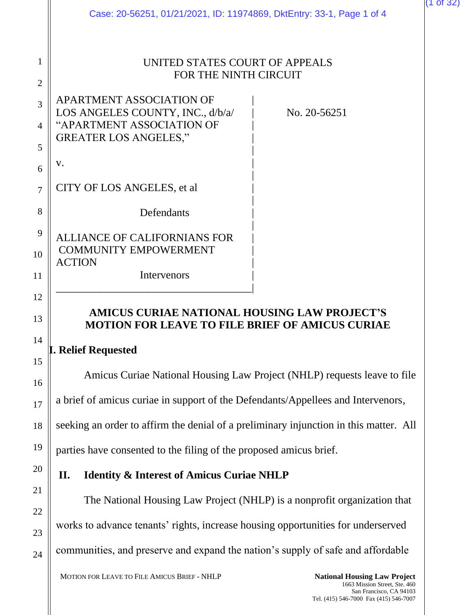|                          | Case: 20-56251, 01/21/2021, ID: 11974869, DktEntry: 33-1, Page 1 of 4                                                     |              |
|--------------------------|---------------------------------------------------------------------------------------------------------------------------|--------------|
| 1<br>$\overline{2}$      | UNITED STATES COURT OF APPEALS<br>FOR THE NINTH CIRCUIT                                                                   |              |
| 3<br>$\overline{A}$<br>5 | APARTMENT ASSOCIATION OF<br>LOS ANGELES COUNTY, INC., d/b/a/<br>"APARTMENT ASSOCIATION OF<br><b>GREATER LOS ANGELES,"</b> | No. 20-56251 |
| 6                        | V.                                                                                                                        |              |
| 7                        | CITY OF LOS ANGELES, et al.                                                                                               |              |
| 8                        | Defendants                                                                                                                |              |
| 9                        | <b>ALLIANCE OF CALIFORNIANS FOR</b>                                                                                       |              |
| 10                       | <b>COMMUNITY EMPOWERMENT</b><br><b>ACTION</b>                                                                             |              |
| 11                       | Intervenors                                                                                                               |              |
| 12<br>13                 | AMICUS CURIAE NATIONAL HOUSING LAW PROJECT'S<br><b>MOTION FOR LEAVE TO FILE BRIEF OF AMICUS CURIAE</b>                    |              |
| 14<br>15                 | <b>I. Relief Requested</b>                                                                                                |              |
| 16                       | Amicus Curiae National Housing Law Project (NHLP) requests leave to file                                                  |              |
| 17                       | a brief of amicus curiae in support of the Defendants/Appellees and Intervenors,                                          |              |
| 18                       | seeking an order to affirm the denial of a preliminary injunction in this matter. All                                     |              |
| 19                       | parties have consented to the filing of the proposed amicus brief.                                                        |              |
| 20                       | <b>Identity &amp; Interest of Amicus Curiae NHLP</b><br>П.                                                                |              |
| 21                       | The National Housing Law Project (NHLP) is a nonprofit organization that                                                  |              |
| 22<br>23                 | works to advance tenants' rights, increase housing opportunities for underserved                                          |              |

communities, and preserve and expand the nation's supply of safe and affordable

24

(1 of 32)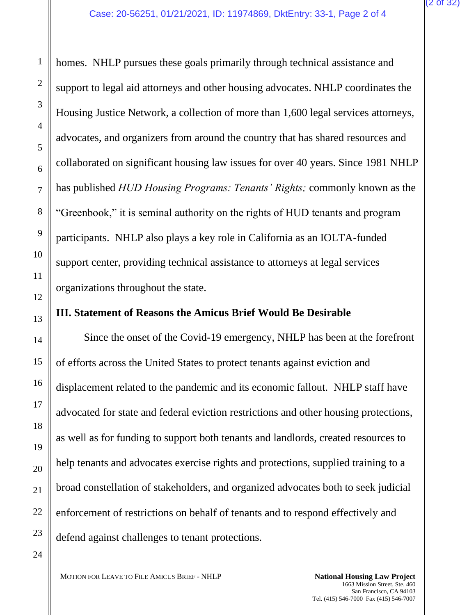homes. NHLP pursues these goals primarily through technical assistance and support to legal aid attorneys and other housing advocates. NHLP coordinates the Housing Justice Network, a collection of more than 1,600 legal services attorneys, advocates, and organizers from around the country that has shared resources and collaborated on significant housing law issues for over 40 years. Since 1981 NHLP has published *HUD Housing Programs: Tenants' Rights;* commonly known as the "Greenbook," it is seminal authority on the rights of HUD tenants and program participants. NHLP also plays a key role in California as an IOLTA-funded support center, providing technical assistance to attorneys at legal services organizations throughout the state.

## **III. Statement of Reasons the Amicus Brief Would Be Desirable**

Since the onset of the Covid-19 emergency, NHLP has been at the forefront of efforts across the United States to protect tenants against eviction and displacement related to the pandemic and its economic fallout. NHLP staff have advocated for state and federal eviction restrictions and other housing protections, as well as for funding to support both tenants and landlords, created resources to help tenants and advocates exercise rights and protections, supplied training to a broad constellation of stakeholders, and organized advocates both to seek judicial enforcement of restrictions on behalf of tenants and to respond effectively and defend against challenges to tenant protections.

MOTION FOR LEAVE TO FILE AMICUS BRIEF - NHLP **National Housing Law Project**

1663 Mission Street, Ste. 460 San Francisco, CA 94103 Tel. (415) 546-7000 Fax (415) 546-7007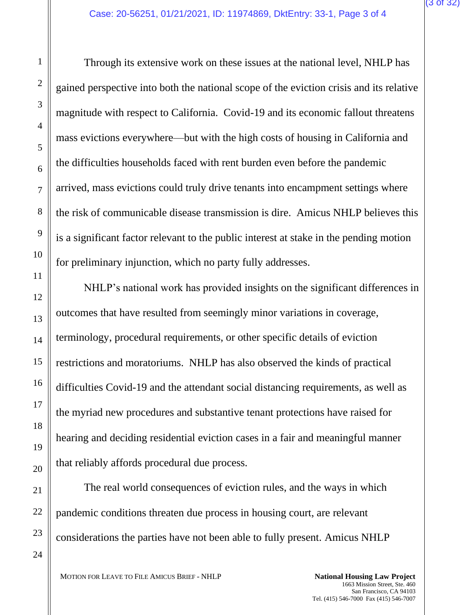Through its extensive work on these issues at the national level, NHLP has gained perspective into both the national scope of the eviction crisis and its relative magnitude with respect to California. Covid-19 and its economic fallout threatens mass evictions everywhere—but with the high costs of housing in California and the difficulties households faced with rent burden even before the pandemic arrived, mass evictions could truly drive tenants into encampment settings where the risk of communicable disease transmission is dire. Amicus NHLP believes this is a significant factor relevant to the public interest at stake in the pending motion for preliminary injunction, which no party fully addresses.

NHLP's national work has provided insights on the significant differences in outcomes that have resulted from seemingly minor variations in coverage, terminology, procedural requirements, or other specific details of eviction restrictions and moratoriums. NHLP has also observed the kinds of practical difficulties Covid-19 and the attendant social distancing requirements, as well as the myriad new procedures and substantive tenant protections have raised for hearing and deciding residential eviction cases in a fair and meaningful manner that reliably affords procedural due process.

The real world consequences of eviction rules, and the ways in which pandemic conditions threaten due process in housing court, are relevant considerations the parties have not been able to fully present. Amicus NHLP

MOTION FOR LEAVE TO FILE AMICUS BRIEF - NHLP **National Housing Law Project**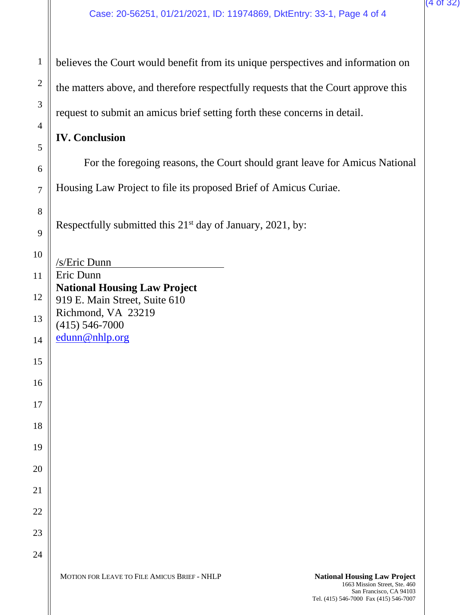San Francisco, CA 94103

Tel. (415) 546-7000 Fax (415) 546-7007

| $\mathbf{1}$        | believes the Court would benefit from its unique perspectives and information on                                     |  |
|---------------------|----------------------------------------------------------------------------------------------------------------------|--|
| $\overline{2}$      | the matters above, and therefore respectfully requests that the Court approve this                                   |  |
| 3                   | request to submit an amicus brief setting forth these concerns in detail.                                            |  |
| $\overline{4}$<br>5 | <b>IV. Conclusion</b>                                                                                                |  |
| 6                   | For the foregoing reasons, the Court should grant leave for Amicus National                                          |  |
| $\overline{7}$      | Housing Law Project to file its proposed Brief of Amicus Curiae.                                                     |  |
| 8<br>9              | Respectfully submitted this 21 <sup>st</sup> day of January, 2021, by:                                               |  |
| 10                  | /s/Eric Dunn                                                                                                         |  |
| 11                  | Eric Dunn                                                                                                            |  |
| 12                  | <b>National Housing Law Project</b><br>919 E. Main Street, Suite 610                                                 |  |
| 13                  | Richmond, VA 23219<br>$(415) 546 - 7000$                                                                             |  |
| 14                  | edunn@nhlp.org                                                                                                       |  |
| 15                  |                                                                                                                      |  |
| 16                  |                                                                                                                      |  |
| 17                  |                                                                                                                      |  |
| 18                  |                                                                                                                      |  |
| 19                  |                                                                                                                      |  |
| 20                  |                                                                                                                      |  |
| 21                  |                                                                                                                      |  |
| 22                  |                                                                                                                      |  |
| 23                  |                                                                                                                      |  |
| 24                  |                                                                                                                      |  |
|                     | MOTION FOR LEAVE TO FILE AMICUS BRIEF - NHLP<br><b>National Housing Law Project</b><br>1663 Mission Street, Ste. 460 |  |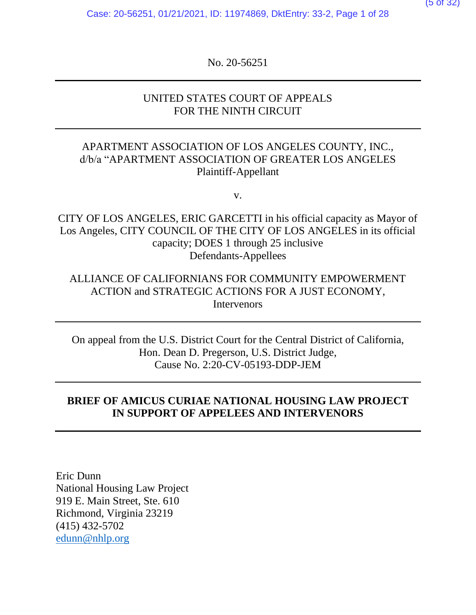Case: 20-56251, 01/21/2021, ID: 11974869, DktEntry: 33-2, Page 1 of 28

No. 20-56251

# UNITED STATES COURT OF APPEALS FOR THE NINTH CIRCUIT

# APARTMENT ASSOCIATION OF LOS ANGELES COUNTY, INC., d/b/a "APARTMENT ASSOCIATION OF GREATER LOS ANGELES Plaintiff-Appellant

v.

CITY OF LOS ANGELES, ERIC GARCETTI in his official capacity as Mayor of Los Angeles, CITY COUNCIL OF THE CITY OF LOS ANGELES in its official capacity; DOES 1 through 25 inclusive Defendants-Appellees

# ALLIANCE OF CALIFORNIANS FOR COMMUNITY EMPOWERMENT ACTION and STRATEGIC ACTIONS FOR A JUST ECONOMY, Intervenors

On appeal from the U.S. District Court for the Central District of California, Hon. Dean D. Pregerson, U.S. District Judge, Cause No. 2:20-CV-05193-DDP-JEM

# **BRIEF OF AMICUS CURIAE NATIONAL HOUSING LAW PROJECT IN SUPPORT OF APPELEES AND INTERVENORS**

Eric Dunn National Housing Law Project 919 E. Main Street, Ste. 610 Richmond, Virginia 23219 (415) 432-5702 [edunn@nhlp.org](mailto:edunn@nhlp.org)

(5 of 32)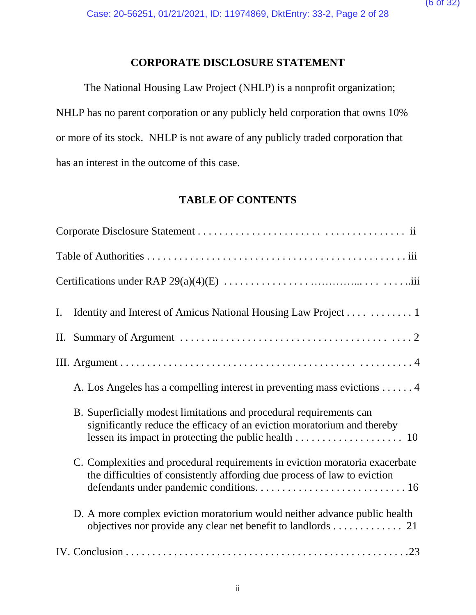# **CORPORATE DISCLOSURE STATEMENT**

The National Housing Law Project (NHLP) is a nonprofit organization; NHLP has no parent corporation or any publicly held corporation that owns 10% or more of its stock. NHLP is not aware of any publicly traded corporation that has an interest in the outcome of this case.

# **TABLE OF CONTENTS**

| Identity and Interest of Amicus National Housing Law Project 1<br>$\mathbf{I}$ .                                                                                    |
|---------------------------------------------------------------------------------------------------------------------------------------------------------------------|
|                                                                                                                                                                     |
|                                                                                                                                                                     |
| A. Los Angeles has a compelling interest in preventing mass evictions 4                                                                                             |
| B. Superficially modest limitations and procedural requirements can<br>significantly reduce the efficacy of an eviction moratorium and thereby                      |
| C. Complexities and procedural requirements in eviction moratoria exacerbate<br>the difficulties of consistently affording due process of law to eviction           |
| D. A more complex eviction moratorium would neither advance public health<br>objectives nor provide any clear net benefit to landlords $\dots \dots \dots \dots$ 21 |
|                                                                                                                                                                     |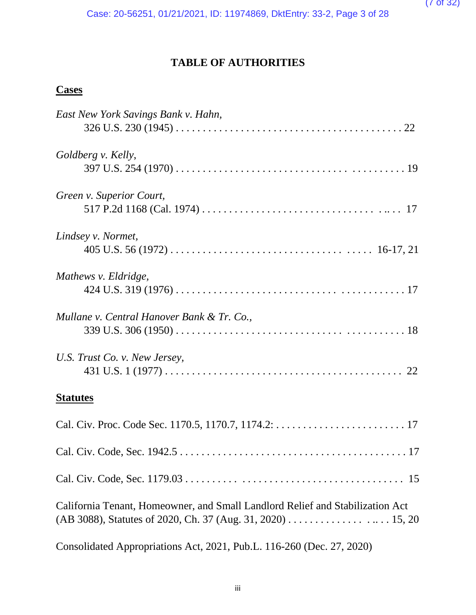# **TABLE OF AUTHORITIES**

# **Cases**

| East New York Savings Bank v. Hahn,                                           |
|-------------------------------------------------------------------------------|
| Goldberg v. Kelly,                                                            |
|                                                                               |
| Green v. Superior Court,                                                      |
|                                                                               |
| Lindsey v. Normet,                                                            |
|                                                                               |
| Mathews v. Eldridge,                                                          |
|                                                                               |
| Mullane v. Central Hanover Bank & Tr. Co.,                                    |
|                                                                               |
| U.S. Trust Co. v. New Jersey,                                                 |
|                                                                               |
| <b>Statutes</b>                                                               |
|                                                                               |
|                                                                               |
|                                                                               |
| California Tenant, Homeowner, and Small Landlord Relief and Stabilization Act |
| (AB 3088), Statutes of 2020, Ch. 37 (Aug. 31, 2020) 15, 20                    |
| Consolidated Appropriations Act, 2021, Pub.L. 116-260 (Dec. 27, 2020)         |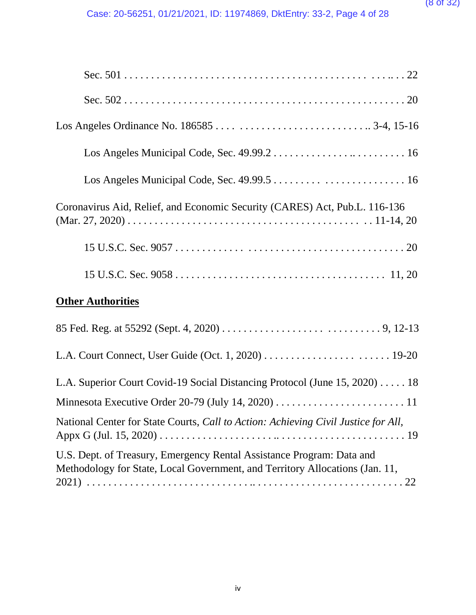| Coronavirus Aid, Relief, and Economic Security (CARES) Act, Pub.L. 116-136 |  |  |
|----------------------------------------------------------------------------|--|--|
|                                                                            |  |  |
|                                                                            |  |  |
| <b>Other Authorities</b>                                                   |  |  |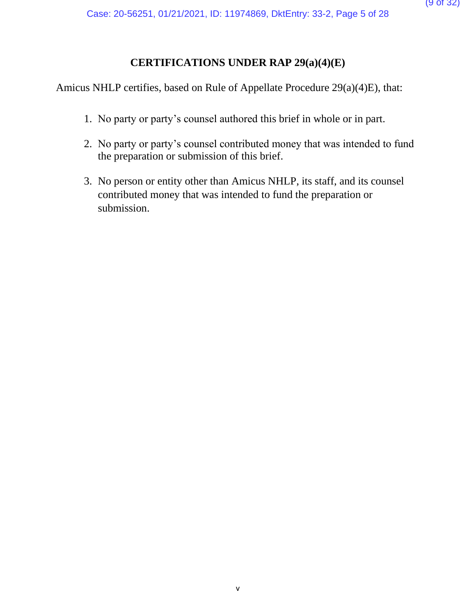# **CERTIFICATIONS UNDER RAP 29(a)(4)(E)**

Amicus NHLP certifies, based on Rule of Appellate Procedure 29(a)(4)E), that:

- 1. No party or party's counsel authored this brief in whole or in part.
- 2. No party or party's counsel contributed money that was intended to fund the preparation or submission of this brief.
- 3. No person or entity other than Amicus NHLP, its staff, and its counsel contributed money that was intended to fund the preparation or submission.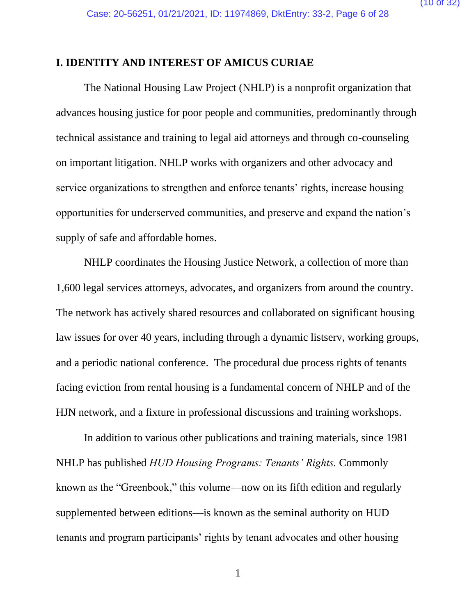### **I. IDENTITY AND INTEREST OF AMICUS CURIAE**

The National Housing Law Project (NHLP) is a nonprofit organization that advances housing justice for poor people and communities, predominantly through technical assistance and training to legal aid attorneys and through co-counseling on important litigation. NHLP works with organizers and other advocacy and service organizations to strengthen and enforce tenants' rights, increase housing opportunities for underserved communities, and preserve and expand the nation's supply of safe and affordable homes.

NHLP coordinates the Housing Justice Network, a collection of more than 1,600 legal services attorneys, advocates, and organizers from around the country. The network has actively shared resources and collaborated on significant housing law issues for over 40 years, including through a dynamic listserv, working groups, and a periodic national conference. The procedural due process rights of tenants facing eviction from rental housing is a fundamental concern of NHLP and of the HJN network, and a fixture in professional discussions and training workshops.

In addition to various other publications and training materials, since 1981 NHLP has published *HUD Housing Programs: Tenants' Rights.* Commonly known as the "Greenbook," this volume—now on its fifth edition and regularly supplemented between editions—is known as the seminal authority on HUD tenants and program participants' rights by tenant advocates and other housing

1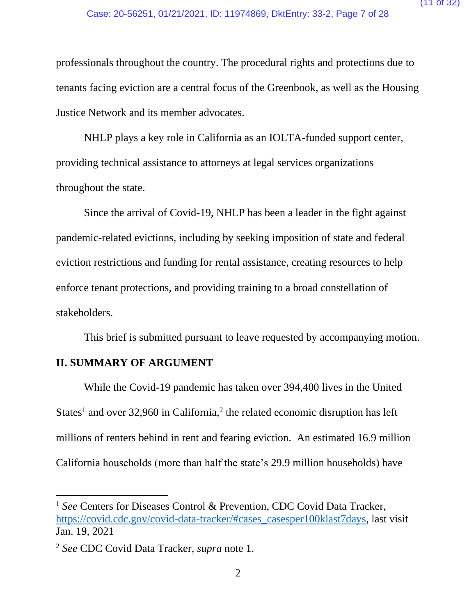professionals throughout the country. The procedural rights and protections due to tenants facing eviction are a central focus of the Greenbook, as well as the Housing Justice Network and its member advocates.

NHLP plays a key role in California as an IOLTA-funded support center, providing technical assistance to attorneys at legal services organizations throughout the state.

Since the arrival of Covid-19, NHLP has been a leader in the fight against pandemic-related evictions, including by seeking imposition of state and federal eviction restrictions and funding for rental assistance, creating resources to help enforce tenant protections, and providing training to a broad constellation of stakeholders.

This brief is submitted pursuant to leave requested by accompanying motion.

## **II. SUMMARY OF ARGUMENT**

While the Covid-19 pandemic has taken over 394,400 lives in the United States<sup>1</sup> and over 32,960 in California,<sup>2</sup> the related economic disruption has left millions of renters behind in rent and fearing eviction. An estimated 16.9 million California households (more than half the state's 29.9 million households) have

<sup>&</sup>lt;sup>1</sup> See Centers for Diseases Control & Prevention, CDC Covid Data Tracker, [https://covid.cdc.gov/covid-data-tracker/#cases\\_casesper100klast7days,](https://covid.cdc.gov/covid-data-tracker/#cases_casesper100klast7days) last visit Jan. 19, 2021

<sup>2</sup> *See* CDC Covid Data Tracker, *supra* note 1.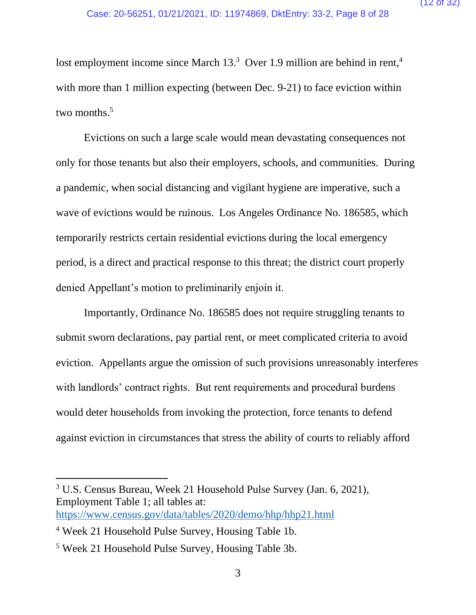lost employment income since March  $13<sup>3</sup>$  Over 1.9 million are behind in rent,<sup>4</sup> with more than 1 million expecting (between Dec. 9-21) to face eviction within two months.<sup>5</sup>

Evictions on such a large scale would mean devastating consequences not only for those tenants but also their employers, schools, and communities. During a pandemic, when social distancing and vigilant hygiene are imperative, such a wave of evictions would be ruinous. Los Angeles Ordinance No. 186585, which temporarily restricts certain residential evictions during the local emergency period, is a direct and practical response to this threat; the district court properly denied Appellant's motion to preliminarily enjoin it.

Importantly, Ordinance No. 186585 does not require struggling tenants to submit sworn declarations, pay partial rent, or meet complicated criteria to avoid eviction. Appellants argue the omission of such provisions unreasonably interferes with landlords' contract rights. But rent requirements and procedural burdens would deter households from invoking the protection, force tenants to defend against eviction in circumstances that stress the ability of courts to reliably afford

<sup>3</sup> U.S. Census Bureau, Week 21 Household Pulse Survey (Jan. 6, 2021), Employment Table 1; all tables at: <https://www.census.gov/data/tables/2020/demo/hhp/hhp21.html>

<sup>4</sup> Week 21 Household Pulse Survey, Housing Table 1b.

<sup>5</sup> Week 21 Household Pulse Survey, Housing Table 3b.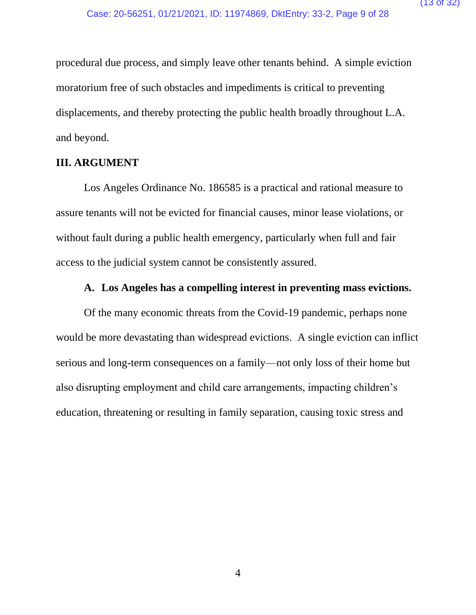procedural due process, and simply leave other tenants behind. A simple eviction moratorium free of such obstacles and impediments is critical to preventing displacements, and thereby protecting the public health broadly throughout L.A. and beyond.

## **III. ARGUMENT**

Los Angeles Ordinance No. 186585 is a practical and rational measure to assure tenants will not be evicted for financial causes, minor lease violations, or without fault during a public health emergency, particularly when full and fair access to the judicial system cannot be consistently assured.

# **A. Los Angeles has a compelling interest in preventing mass evictions.**

Of the many economic threats from the Covid-19 pandemic, perhaps none would be more devastating than widespread evictions. A single eviction can inflict serious and long-term consequences on a family—not only loss of their home but also disrupting employment and child care arrangements, impacting children's education, threatening or resulting in family separation, causing toxic stress and

4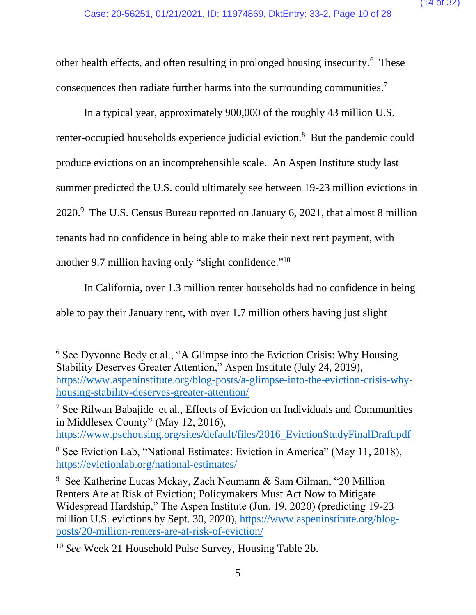other health effects, and often resulting in prolonged housing insecurity.<sup>6</sup> These consequences then radiate further harms into the surrounding communities.<sup>7</sup>

In a typical year, approximately 900,000 of the roughly 43 million U.S. renter-occupied households experience judicial eviction.<sup>8</sup> But the pandemic could produce evictions on an incomprehensible scale. An Aspen Institute study last summer predicted the U.S. could ultimately see between 19-23 million evictions in 2020.<sup>9</sup> The U.S. Census Bureau reported on January 6, 2021, that almost 8 million tenants had no confidence in being able to make their next rent payment, with another 9.7 million having only "slight confidence."<sup>10</sup>

In California, over 1.3 million renter households had no confidence in being able to pay their January rent, with over 1.7 million others having just slight

<sup>7</sup> See Rilwan Babajide et al., Effects of Eviction on Individuals and Communities in Middlesex County" (May 12, 2016),

[https://www.pschousing.org/sites/default/files/2016\\_EvictionStudyFinalDraft.pdf](https://www.pschousing.org/sites/default/files/2016_EvictionStudyFinalDraft.pdf)

<sup>6</sup> See Dyvonne Body et al., "A Glimpse into the Eviction Crisis: Why Housing Stability Deserves Greater Attention," Aspen Institute (July 24, 2019), [https://www.aspeninstitute.org/blog-posts/a-glimpse-into-the-eviction-crisis-why](https://www.aspeninstitute.org/blog-posts/a-glimpse-into-the-eviction-crisis-why-housing-stability-deserves-greater-attention/)[housing-stability-deserves-greater-attention/](https://www.aspeninstitute.org/blog-posts/a-glimpse-into-the-eviction-crisis-why-housing-stability-deserves-greater-attention/)

<sup>8</sup> See Eviction Lab, "National Estimates: Eviction in America" (May 11, 2018), <https://evictionlab.org/national-estimates/>

<sup>9</sup> See Katherine Lucas Mckay, Zach Neumann & Sam Gilman, "20 Million Renters Are at Risk of Eviction; Policymakers Must Act Now to Mitigate Widespread Hardship," The Aspen Institute (Jun. 19, 2020) (predicting 19-23 million U.S. evictions by Sept. 30, 2020), [https://www.aspeninstitute.org/blog](https://www.aspeninstitute.org/blog-posts/20-million-renters-are-at-risk-of-eviction/)[posts/20-million-renters-are-at-risk-of-eviction/](https://www.aspeninstitute.org/blog-posts/20-million-renters-are-at-risk-of-eviction/)

<sup>10</sup> *See* Week 21 Household Pulse Survey, Housing Table 2b.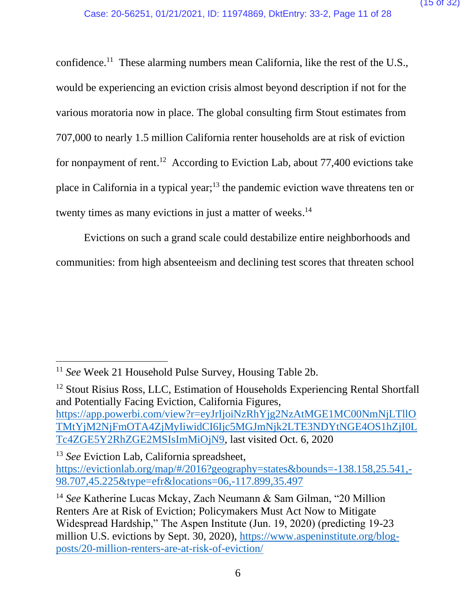confidence.<sup>11</sup> These alarming numbers mean California, like the rest of the U.S., would be experiencing an eviction crisis almost beyond description if not for the various moratoria now in place. The global consulting firm Stout estimates from 707,000 to nearly 1.5 million California renter households are at risk of eviction for nonpayment of rent. <sup>12</sup> According to Eviction Lab, about 77,400 evictions take place in California in a typical year;<sup>13</sup> the pandemic eviction wave threatens ten or twenty times as many evictions in just a matter of weeks.<sup>14</sup>

Evictions on such a grand scale could destabilize entire neighborhoods and communities: from high absenteeism and declining test scores that threaten school

<sup>12</sup> Stout Risius Ross, LLC, Estimation of Households Experiencing Rental Shortfall and Potentially Facing Eviction, California Figures, [https://app.powerbi.com/view?r=eyJrIjoiNzRhYjg2NzAtMGE1MC00NmNjLTllO](https://app.powerbi.com/view?r=eyJrIjoiNzRhYjg2NzAtMGE1MC00NmNjLTllOTMtYjM2NjFmOTA4ZjMyIiwidCI6Ijc5MGJmNjk2LTE3NDYtNGE4OS1hZjI0LTc4ZGE5Y2RhZGE2MSIsImMiOjN9) [TMtYjM2NjFmOTA4ZjMyIiwidCI6Ijc5MGJmNjk2LTE3NDYtNGE4OS1hZjI0L](https://app.powerbi.com/view?r=eyJrIjoiNzRhYjg2NzAtMGE1MC00NmNjLTllOTMtYjM2NjFmOTA4ZjMyIiwidCI6Ijc5MGJmNjk2LTE3NDYtNGE4OS1hZjI0LTc4ZGE5Y2RhZGE2MSIsImMiOjN9) [Tc4ZGE5Y2RhZGE2MSIsImMiOjN9,](https://app.powerbi.com/view?r=eyJrIjoiNzRhYjg2NzAtMGE1MC00NmNjLTllOTMtYjM2NjFmOTA4ZjMyIiwidCI6Ijc5MGJmNjk2LTE3NDYtNGE4OS1hZjI0LTc4ZGE5Y2RhZGE2MSIsImMiOjN9) last visited Oct. 6, 2020

<sup>13</sup> *See* Eviction Lab, California spreadsheet, [https://evictionlab.org/map/#/2016?geography=states&bounds=-138.158,25.541,-](https://evictionlab.org/map/#/2016?geography=states&bounds=-138.158,25.541,-98.707,45.225&type=efr&locations=06,-117.899,35.497) [98.707,45.225&type=efr&locations=06,-117.899,35.497](https://evictionlab.org/map/#/2016?geography=states&bounds=-138.158,25.541,-98.707,45.225&type=efr&locations=06,-117.899,35.497)

<sup>11</sup> *See* Week 21 Household Pulse Survey, Housing Table 2b.

<sup>&</sup>lt;sup>14</sup> See Katherine Lucas Mckay, Zach Neumann & Sam Gilman, "20 Million Renters Are at Risk of Eviction; Policymakers Must Act Now to Mitigate Widespread Hardship," The Aspen Institute (Jun. 19, 2020) (predicting 19-23 million U.S. evictions by Sept. 30, 2020), [https://www.aspeninstitute.org/blog](https://www.aspeninstitute.org/blog-posts/20-million-renters-are-at-risk-of-eviction/)[posts/20-million-renters-are-at-risk-of-eviction/](https://www.aspeninstitute.org/blog-posts/20-million-renters-are-at-risk-of-eviction/)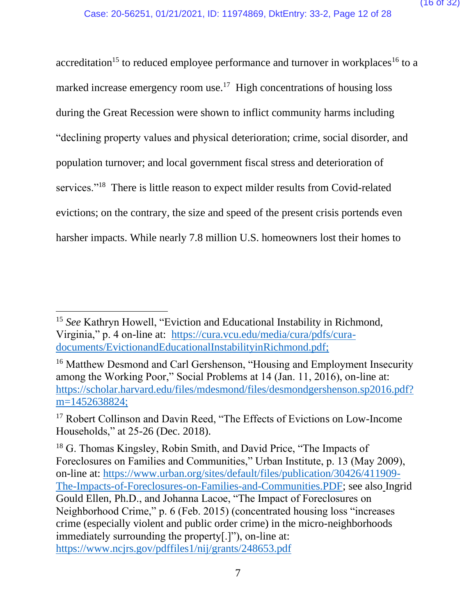accreditation<sup>15</sup> to reduced employee performance and turnover in workplaces<sup>16</sup> to a marked increase emergency room use.<sup>17</sup> High concentrations of housing loss during the Great Recession were shown to inflict community harms including "declining property values and physical deterioration; crime, social disorder, and population turnover; and local government fiscal stress and deterioration of services."<sup>18</sup> There is little reason to expect milder results from Covid-related evictions; on the contrary, the size and speed of the present crisis portends even harsher impacts. While nearly 7.8 million U.S. homeowners lost their homes to

<sup>15</sup> *See* Kathryn Howell, "Eviction and Educational Instability in Richmond, Virginia," p. 4 on-line at: [https://cura.vcu.edu/media/cura/pdfs/cura](https://cura.vcu.edu/media/cura/pdfs/cura-documents/EvictionandEducationalInstabilityinRichmond.pdf)[documents/EvictionandEducationalInstabilityinRichmond.pdf;](https://cura.vcu.edu/media/cura/pdfs/cura-documents/EvictionandEducationalInstabilityinRichmond.pdf)

<sup>&</sup>lt;sup>16</sup> Matthew Desmond and Carl Gershenson, "Housing and Employment Insecurity among the Working Poor," Social Problems at 14 (Jan. 11, 2016), on-line at: [https://scholar.harvard.edu/files/mdesmond/files/desmondgershenson.sp2016.pdf?](https://scholar.harvard.edu/files/mdesmond/files/desmondgershenson.sp2016.pdf?m=1452638824) [m=1452638824;](https://scholar.harvard.edu/files/mdesmond/files/desmondgershenson.sp2016.pdf?m=1452638824)

<sup>&</sup>lt;sup>17</sup> Robert Collinson and Davin Reed, "The Effects of Evictions on Low-Income Households," at 25-26 (Dec. 2018).

<sup>&</sup>lt;sup>18</sup> G. Thomas Kingsley, Robin Smith, and David Price, "The Impacts of Foreclosures on Families and Communities," Urban Institute, p. 13 (May 2009), on-line at: [https://www.urban.org/sites/default/files/publication/30426/411909-](https://www.urban.org/sites/default/files/publication/30426/411909-The-Impacts-of-Foreclosures-on-Families-and-Communities.PDF) [The-Impacts-of-Foreclosures-on-Families-and-Communities.PDF;](https://www.urban.org/sites/default/files/publication/30426/411909-The-Impacts-of-Foreclosures-on-Families-and-Communities.PDF) see also Ingrid Gould Ellen, Ph.D., and Johanna Lacoe, "The Impact of Foreclosures on Neighborhood Crime," p. 6 (Feb. 2015) (concentrated housing loss "increases crime (especially violent and public order crime) in the micro-neighborhoods immediately surrounding the property[.]"), on-line at: <https://www.ncjrs.gov/pdffiles1/nij/grants/248653.pdf>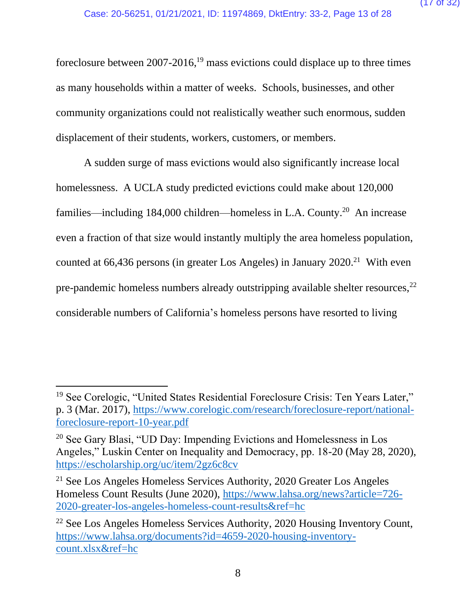foreclosure between  $2007-2016$ ,<sup>19</sup> mass evictions could displace up to three times as many households within a matter of weeks. Schools, businesses, and other community organizations could not realistically weather such enormous, sudden displacement of their students, workers, customers, or members.

A sudden surge of mass evictions would also significantly increase local homelessness. A UCLA study predicted evictions could make about 120,000 families—including 184,000 children—homeless in L.A. County.<sup>20</sup> An increase even a fraction of that size would instantly multiply the area homeless population, counted at  $66,436$  persons (in greater Los Angeles) in January  $2020.^{21}$  With even pre-pandemic homeless numbers already outstripping available shelter resources,<sup>22</sup> considerable numbers of California's homeless persons have resorted to living

<sup>19</sup> See Corelogic, "United States Residential Foreclosure Crisis: Ten Years Later," p. 3 (Mar. 2017), [https://www.corelogic.com/research/foreclosure-report/national](https://www.corelogic.com/research/foreclosure-report/national-foreclosure-report-10-year.pdf)[foreclosure-report-10-year.pdf](https://www.corelogic.com/research/foreclosure-report/national-foreclosure-report-10-year.pdf)

<sup>20</sup> See Gary Blasi, "UD Day: Impending Evictions and Homelessness in Los Angeles," Luskin Center on Inequality and Democracy, pp. 18-20 (May 28, 2020), <https://escholarship.org/uc/item/2gz6c8cv>

<sup>21</sup> See Los Angeles Homeless Services Authority, 2020 Greater Los Angeles Homeless Count Results (June 2020), [https://www.lahsa.org/news?article=726-](https://www.lahsa.org/news?article=726-2020-greater-los-angeles-homeless-count-results&ref=hc) [2020-greater-los-angeles-homeless-count-results&ref=hc](https://www.lahsa.org/news?article=726-2020-greater-los-angeles-homeless-count-results&ref=hc)

<sup>22</sup> See Los Angeles Homeless Services Authority, 2020 Housing Inventory Count, [https://www.lahsa.org/documents?id=4659-2020-housing-inventory](https://www.lahsa.org/documents?id=4659-2020-housing-inventory-count.xlsx&ref=hc)[count.xlsx&ref=hc](https://www.lahsa.org/documents?id=4659-2020-housing-inventory-count.xlsx&ref=hc)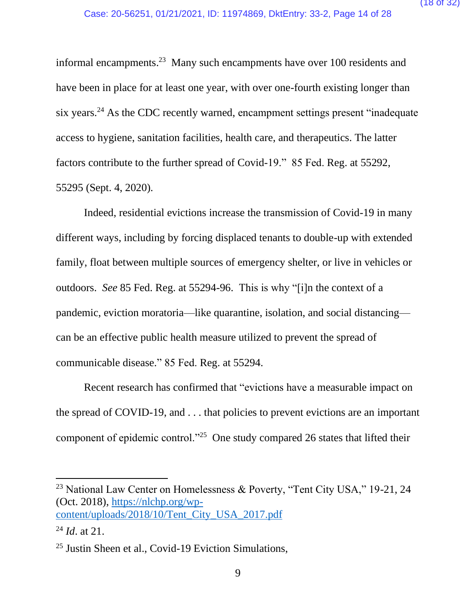informal encampments.<sup>23</sup> Many such encampments have over 100 residents and have been in place for at least one year, with over one-fourth existing longer than six years.<sup>24</sup> As the CDC recently warned, encampment settings present "inadequate" access to hygiene, sanitation facilities, health care, and therapeutics. The latter factors contribute to the further spread of Covid-19." 85 Fed. Reg. at 55292, 55295 (Sept. 4, 2020).

Indeed, residential evictions increase the transmission of Covid-19 in many different ways, including by forcing displaced tenants to double-up with extended family, float between multiple sources of emergency shelter, or live in vehicles or outdoors. *See* 85 Fed. Reg. at 55294-96. This is why "[i]n the context of a pandemic, eviction moratoria—like quarantine, isolation, and social distancing can be an effective public health measure utilized to prevent the spread of communicable disease." 85 Fed. Reg. at 55294.

Recent research has confirmed that "evictions have a measurable impact on the spread of COVID-19, and . . . that policies to prevent evictions are an important component of epidemic control."<sup>25</sup> One study compared 26 states that lifted their

<sup>&</sup>lt;sup>23</sup> National Law Center on Homelessness & Poverty, "Tent City USA," 19-21, 24 (Oct. 2018), [https://nlchp.org/wp](https://nlchp.org/wp-content/uploads/2018/10/Tent_City_USA_2017.pdf)[content/uploads/2018/10/Tent\\_City\\_USA\\_2017.pdf](https://nlchp.org/wp-content/uploads/2018/10/Tent_City_USA_2017.pdf)

<sup>24</sup> *Id*. at 21.

<sup>25</sup> Justin Sheen et al., Covid-19 Eviction Simulations,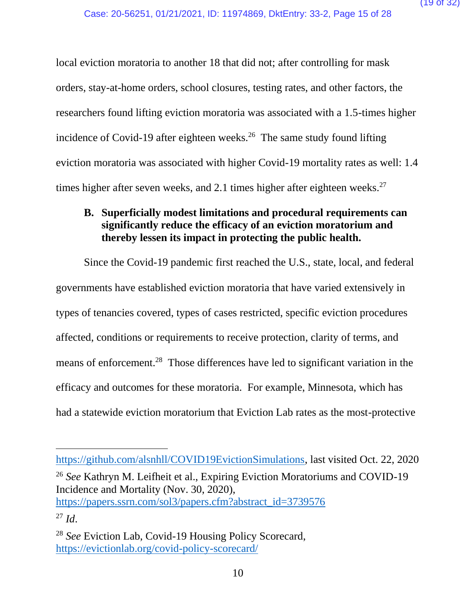local eviction moratoria to another 18 that did not; after controlling for mask orders, stay-at-home orders, school closures, testing rates, and other factors, the researchers found lifting eviction moratoria was associated with a 1.5-times higher incidence of Covid-19 after eighteen weeks.<sup>26</sup> The same study found lifting eviction moratoria was associated with higher Covid-19 mortality rates as well: 1.4 times higher after seven weeks, and 2.1 times higher after eighteen weeks.<sup>27</sup>

## **B. Superficially modest limitations and procedural requirements can significantly reduce the efficacy of an eviction moratorium and thereby lessen its impact in protecting the public health.**

Since the Covid-19 pandemic first reached the U.S., state, local, and federal governments have established eviction moratoria that have varied extensively in types of tenancies covered, types of cases restricted, specific eviction procedures affected, conditions or requirements to receive protection, clarity of terms, and means of enforcement.<sup>28</sup> Those differences have led to significant variation in the efficacy and outcomes for these moratoria. For example, Minnesota, which has had a statewide eviction moratorium that Eviction Lab rates as the most-protective

[https://github.com/alsnhll/COVID19EvictionSimulations,](https://github.com/alsnhll/COVID19EvictionSimulations) last visited Oct. 22, 2020 <sup>26</sup> *See* Kathryn M. Leifheit et al., Expiring Eviction Moratoriums and COVID-19 Incidence and Mortality (Nov. 30, 2020), [https://papers.ssrn.com/sol3/papers.cfm?abstract\\_id=3739576](https://papers.ssrn.com/sol3/papers.cfm?abstract_id=3739576) <sup>27</sup> *Id*.

<sup>28</sup> *See* Eviction Lab, Covid-19 Housing Policy Scorecard, <https://evictionlab.org/covid-policy-scorecard/>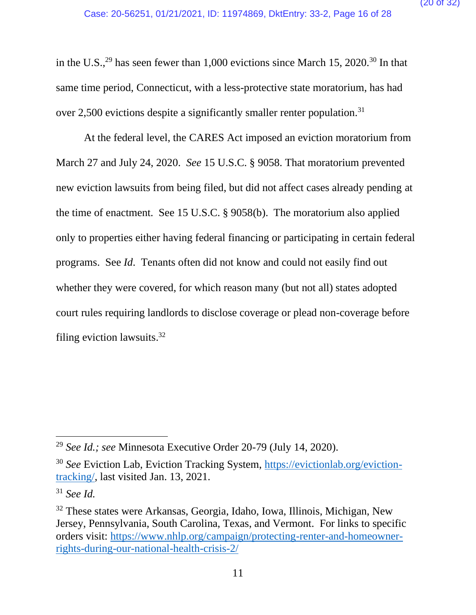in the U.S.,<sup>29</sup> has seen fewer than 1,000 evictions since March 15, 2020.<sup>30</sup> In that same time period, Connecticut, with a less-protective state moratorium, has had over 2,500 evictions despite a significantly smaller renter population.<sup>31</sup>

At the federal level, the CARES Act imposed an eviction moratorium from March 27 and July 24, 2020. *See* 15 U.S.C. § 9058. That moratorium prevented new eviction lawsuits from being filed, but did not affect cases already pending at the time of enactment. See 15 U.S.C. § 9058(b). The moratorium also applied only to properties either having federal financing or participating in certain federal programs. See *Id*. Tenants often did not know and could not easily find out whether they were covered, for which reason many (but not all) states adopted court rules requiring landlords to disclose coverage or plead non-coverage before filing eviction lawsuits. 32

<sup>29</sup> *See Id.; see* Minnesota Executive Order 20-79 (July 14, 2020).

<sup>30</sup> *See* Eviction Lab, Eviction Tracking System, [https://evictionlab.org/eviction](https://evictionlab.org/eviction-tracking/)[tracking/,](https://evictionlab.org/eviction-tracking/) last visited Jan. 13, 2021.

<sup>31</sup> *See Id.*

<sup>32</sup> These states were Arkansas, Georgia, Idaho, Iowa, Illinois, Michigan, New Jersey, Pennsylvania, South Carolina, Texas, and Vermont. For links to specific orders visit: [https://www.nhlp.org/campaign/protecting-renter-and-homeowner](https://www.nhlp.org/campaign/protecting-renter-and-homeowner-rights-during-our-national-health-crisis-2/)[rights-during-our-national-health-crisis-2/](https://www.nhlp.org/campaign/protecting-renter-and-homeowner-rights-during-our-national-health-crisis-2/)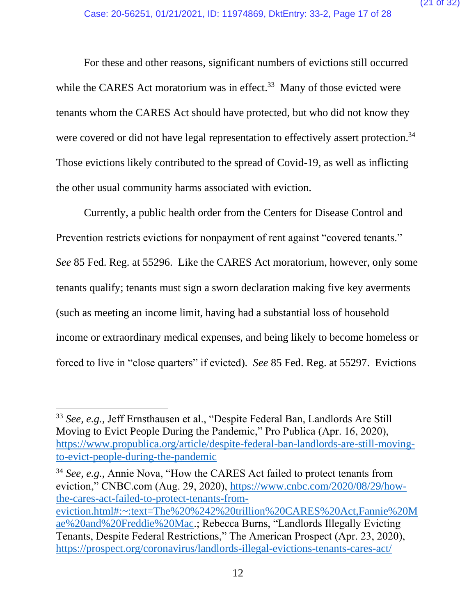For these and other reasons, significant numbers of evictions still occurred while the CARES Act moratorium was in effect.<sup>33</sup> Many of those evicted were tenants whom the CARES Act should have protected, but who did not know they were covered or did not have legal representation to effectively assert protection.<sup>34</sup> Those evictions likely contributed to the spread of Covid-19, as well as inflicting the other usual community harms associated with eviction.

Currently, a public health order from the Centers for Disease Control and Prevention restricts evictions for nonpayment of rent against "covered tenants." *See* 85 Fed. Reg. at 55296. Like the CARES Act moratorium, however, only some tenants qualify; tenants must sign a sworn declaration making five key averments (such as meeting an income limit, having had a substantial loss of household income or extraordinary medical expenses, and being likely to become homeless or forced to live in "close quarters" if evicted). *See* 85 Fed. Reg. at 55297. Evictions

<sup>33</sup> *See, e.g.,* Jeff Ernsthausen et al., "Despite Federal Ban, Landlords Are Still Moving to Evict People During the Pandemic," Pro Publica (Apr. 16, 2020), [https://www.propublica.org/article/despite-federal-ban-landlords-are-still-moving](https://www.propublica.org/article/despite-federal-ban-landlords-are-still-moving-to-evict-people-during-the-pandemic)[to-evict-people-during-the-pandemic](https://www.propublica.org/article/despite-federal-ban-landlords-are-still-moving-to-evict-people-during-the-pandemic)

<sup>34</sup> *See, e.g.,* Annie Nova, "How the CARES Act failed to protect tenants from eviction," CNBC.com (Aug. 29, 2020), [https://www.cnbc.com/2020/08/29/how](https://www.cnbc.com/2020/08/29/how-the-cares-act-failed-to-protect-tenants-from-eviction.html#:~:text=The%20%242%20trillion%20CARES%20Act,Fannie%20Mae%20and%20Freddie%20Mac)[the-cares-act-failed-to-protect-tenants-from](https://www.cnbc.com/2020/08/29/how-the-cares-act-failed-to-protect-tenants-from-eviction.html#:~:text=The%20%242%20trillion%20CARES%20Act,Fannie%20Mae%20and%20Freddie%20Mac)[eviction.html#:~:text=The%20%242%20trillion%20CARES%20Act,Fannie%20M](https://www.cnbc.com/2020/08/29/how-the-cares-act-failed-to-protect-tenants-from-eviction.html#:~:text=The%20%242%20trillion%20CARES%20Act,Fannie%20Mae%20and%20Freddie%20Mac) [ae%20and%20Freddie%20Mac.](https://www.cnbc.com/2020/08/29/how-the-cares-act-failed-to-protect-tenants-from-eviction.html#:~:text=The%20%242%20trillion%20CARES%20Act,Fannie%20Mae%20and%20Freddie%20Mac); Rebecca Burns, "Landlords Illegally Evicting Tenants, Despite Federal Restrictions," The American Prospect (Apr. 23, 2020), <https://prospect.org/coronavirus/landlords-illegal-evictions-tenants-cares-act/>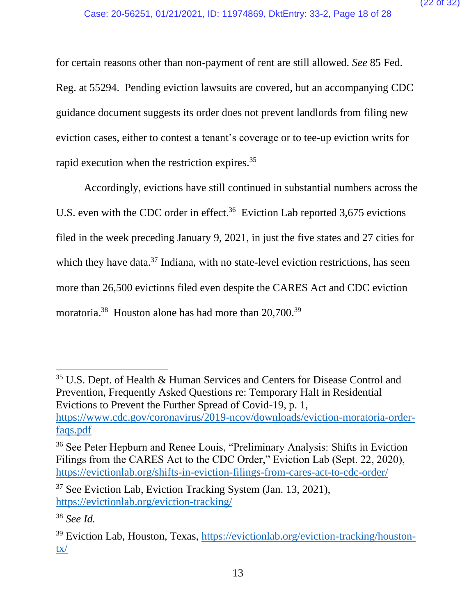for certain reasons other than non-payment of rent are still allowed. *See* 85 Fed. Reg. at 55294. Pending eviction lawsuits are covered, but an accompanying CDC guidance document suggests its order does not prevent landlords from filing new eviction cases, either to contest a tenant's coverage or to tee-up eviction writs for rapid execution when the restriction expires. 35

Accordingly, evictions have still continued in substantial numbers across the U.S. even with the CDC order in effect.<sup>36</sup> Eviction Lab reported  $3,675$  evictions filed in the week preceding January 9, 2021, in just the five states and 27 cities for which they have data.<sup>37</sup> Indiana, with no state-level eviction restrictions, has seen more than 26,500 evictions filed even despite the CARES Act and CDC eviction moratoria.<sup>38</sup> Houston alone has had more than 20,700.<sup>39</sup>

<sup>35</sup> U.S. Dept. of Health & Human Services and Centers for Disease Control and Prevention, Frequently Asked Questions re: Temporary Halt in Residential Evictions to Prevent the Further Spread of Covid-19, p. 1, [https://www.cdc.gov/coronavirus/2019-ncov/downloads/eviction-moratoria-order](https://www.cdc.gov/coronavirus/2019-ncov/downloads/eviction-moratoria-order-faqs.pdf)[faqs.pdf](https://www.cdc.gov/coronavirus/2019-ncov/downloads/eviction-moratoria-order-faqs.pdf)

<sup>36</sup> See Peter Hepburn and Renee Louis, "Preliminary Analysis: Shifts in Eviction Filings from the CARES Act to the CDC Order," Eviction Lab (Sept. 22, 2020), <https://evictionlab.org/shifts-in-eviction-filings-from-cares-act-to-cdc-order/>

<sup>37</sup> See Eviction Lab, Eviction Tracking System (Jan. 13, 2021), <https://evictionlab.org/eviction-tracking/>

<sup>38</sup> *See Id.*

<sup>&</sup>lt;sup>39</sup> Eviction Lab, Houston, Texas, [https://evictionlab.org/eviction-tracking/houston](https://evictionlab.org/eviction-tracking/houston-tx/)[tx/](https://evictionlab.org/eviction-tracking/houston-tx/)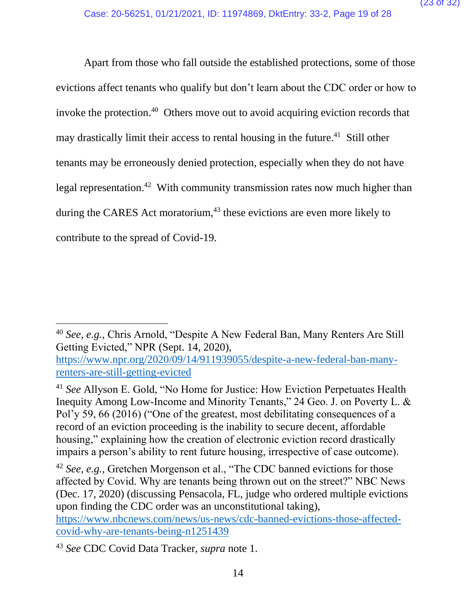Apart from those who fall outside the established protections, some of those evictions affect tenants who qualify but don't learn about the CDC order or how to invoke the protection. 40 Others move out to avoid acquiring eviction records that may drastically limit their access to rental housing in the future.<sup>41</sup> Still other tenants may be erroneously denied protection, especially when they do not have legal representation.<sup>42</sup> With community transmission rates now much higher than during the CARES Act moratorium, $43$  these evictions are even more likely to contribute to the spread of Covid-19.

[https://www.nbcnews.com/news/us-news/cdc-banned-evictions-those-affected](https://www.nbcnews.com/news/us-news/cdc-banned-evictions-those-affected-covid-why-are-tenants-being-n1251439)[covid-why-are-tenants-being-n1251439](https://www.nbcnews.com/news/us-news/cdc-banned-evictions-those-affected-covid-why-are-tenants-being-n1251439)

<sup>43</sup> *See* CDC Covid Data Tracker, *supra* note 1.

<sup>40</sup> *See, e.g.,* Chris Arnold, "Despite A New Federal Ban, Many Renters Are Still Getting Evicted," NPR (Sept. 14, 2020),

[https://www.npr.org/2020/09/14/911939055/despite-a-new-federal-ban-many](https://www.npr.org/2020/09/14/911939055/despite-a-new-federal-ban-many-renters-are-still-getting-evicted)[renters-are-still-getting-evicted](https://www.npr.org/2020/09/14/911939055/despite-a-new-federal-ban-many-renters-are-still-getting-evicted)

<sup>41</sup> *See* Allyson E. Gold, "No Home for Justice: How Eviction Perpetuates Health Inequity Among Low-Income and Minority Tenants," 24 Geo. J. on Poverty L. & Pol'y 59, 66 (2016) ("One of the greatest, most debilitating consequences of a record of an eviction proceeding is the inability to secure decent, affordable housing," explaining how the creation of electronic eviction record drastically impairs a person's ability to rent future housing, irrespective of case outcome).

<sup>42</sup> *See, e.g.,* Gretchen Morgenson et al., "The CDC banned evictions for those affected by Covid. Why are tenants being thrown out on the street?" NBC News (Dec. 17, 2020) (discussing Pensacola, FL, judge who ordered multiple evictions upon finding the CDC order was an unconstitutional taking),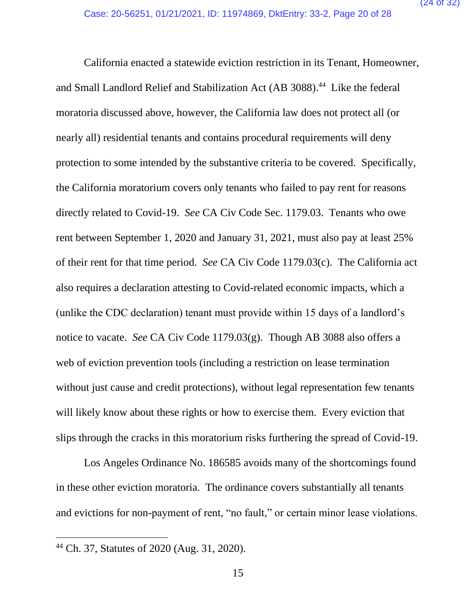California enacted a statewide eviction restriction in its Tenant, Homeowner, and Small Landlord Relief and Stabilization Act (AB 3088). 44 Like the federal moratoria discussed above, however, the California law does not protect all (or nearly all) residential tenants and contains procedural requirements will deny protection to some intended by the substantive criteria to be covered. Specifically, the California moratorium covers only tenants who failed to pay rent for reasons directly related to Covid-19. *See* CA Civ Code Sec. 1179.03. Tenants who owe rent between September 1, 2020 and January 31, 2021, must also pay at least 25% of their rent for that time period. *See* CA Civ Code 1179.03(c). The California act also requires a declaration attesting to Covid-related economic impacts, which a (unlike the CDC declaration) tenant must provide within 15 days of a landlord's notice to vacate. *See* CA Civ Code 1179.03(g). Though AB 3088 also offers a web of eviction prevention tools (including a restriction on lease termination without just cause and credit protections), without legal representation few tenants will likely know about these rights or how to exercise them. Every eviction that slips through the cracks in this moratorium risks furthering the spread of Covid-19.

Los Angeles Ordinance No. 186585 avoids many of the shortcomings found in these other eviction moratoria. The ordinance covers substantially all tenants and evictions for non-payment of rent, "no fault," or certain minor lease violations.

<sup>44</sup> Ch. 37, Statutes of 2020 (Aug. 31, 2020).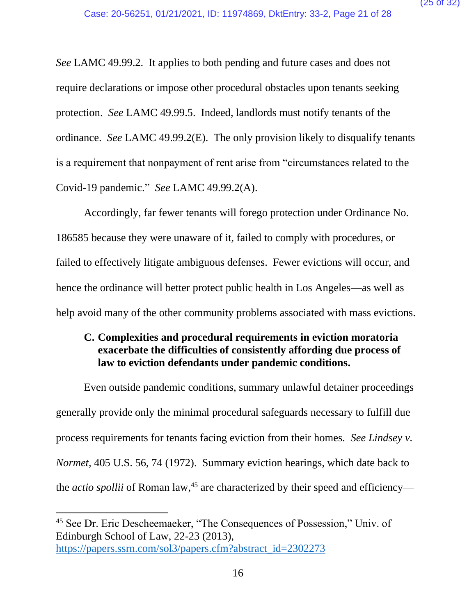*See* LAMC 49.99.2. It applies to both pending and future cases and does not require declarations or impose other procedural obstacles upon tenants seeking protection. *See* LAMC 49.99.5. Indeed, landlords must notify tenants of the ordinance. *See* LAMC 49.99.2(E). The only provision likely to disqualify tenants is a requirement that nonpayment of rent arise from "circumstances related to the Covid-19 pandemic." *See* LAMC 49.99.2(A).

Accordingly, far fewer tenants will forego protection under Ordinance No. 186585 because they were unaware of it, failed to comply with procedures, or failed to effectively litigate ambiguous defenses. Fewer evictions will occur, and hence the ordinance will better protect public health in Los Angeles—as well as help avoid many of the other community problems associated with mass evictions.

## **C. Complexities and procedural requirements in eviction moratoria exacerbate the difficulties of consistently affording due process of law to eviction defendants under pandemic conditions.**

Even outside pandemic conditions, summary unlawful detainer proceedings generally provide only the minimal procedural safeguards necessary to fulfill due process requirements for tenants facing eviction from their homes. *See Lindsey v. Normet,* 405 U.S. 56, 74 (1972). Summary eviction hearings, which date back to the *actio spollii* of Roman law,<sup>45</sup> are characterized by their speed and efficiency—

<sup>45</sup> See Dr. Eric Descheemaeker, "The Consequences of Possession," Univ. of Edinburgh School of Law, 22-23 (2013), [https://papers.ssrn.com/sol3/papers.cfm?abstract\\_id=2302273](https://papers.ssrn.com/sol3/papers.cfm?abstract_id=2302273)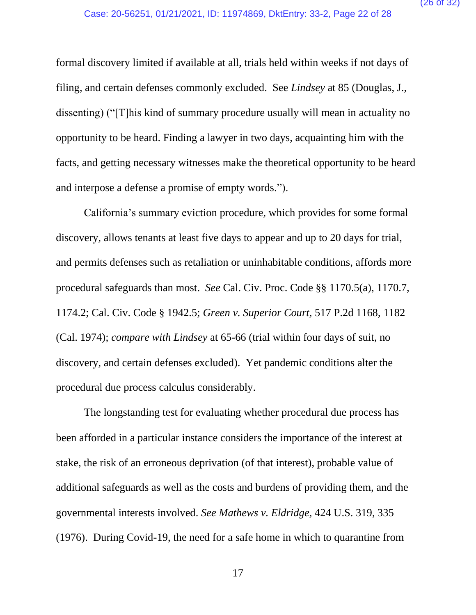formal discovery limited if available at all, trials held within weeks if not days of filing, and certain defenses commonly excluded. See *Lindsey* at 85 (Douglas, J., dissenting) ("[T]his kind of summary procedure usually will mean in actuality no opportunity to be heard. Finding a lawyer in two days, acquainting him with the facts, and getting necessary witnesses make the theoretical opportunity to be heard and interpose a defense a promise of empty words.").

California's summary eviction procedure, which provides for some formal discovery, allows tenants at least five days to appear and up to 20 days for trial, and permits defenses such as retaliation or uninhabitable conditions, affords more procedural safeguards than most. *See* Cal. Civ. Proc. Code §§ 1170.5(a), 1170.7, 1174.2; Cal. Civ. Code § 1942.5; *Green v. Superior Court,* 517 P.2d 1168, 1182 (Cal. 1974); *compare with Lindsey* at 65-66 (trial within four days of suit, no discovery, and certain defenses excluded). Yet pandemic conditions alter the procedural due process calculus considerably.

The longstanding test for evaluating whether procedural due process has been afforded in a particular instance considers the importance of the interest at stake, the risk of an erroneous deprivation (of that interest), probable value of additional safeguards as well as the costs and burdens of providing them, and the governmental interests involved. *See Mathews v. Eldridge,* 424 U.S. 319, 335 (1976). During Covid-19, the need for a safe home in which to quarantine from

17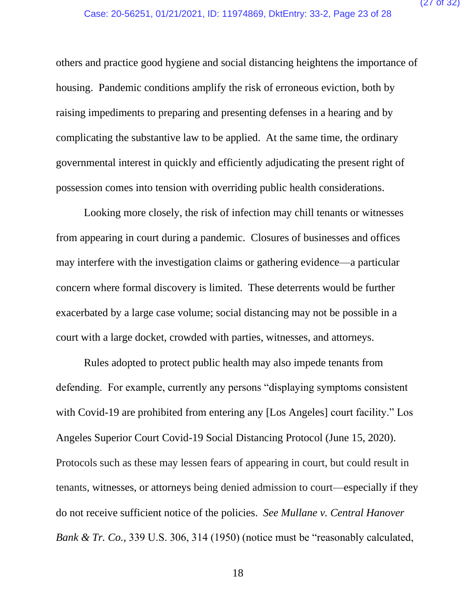others and practice good hygiene and social distancing heightens the importance of housing. Pandemic conditions amplify the risk of erroneous eviction, both by raising impediments to preparing and presenting defenses in a hearing and by complicating the substantive law to be applied. At the same time, the ordinary governmental interest in quickly and efficiently adjudicating the present right of possession comes into tension with overriding public health considerations.

Looking more closely, the risk of infection may chill tenants or witnesses from appearing in court during a pandemic. Closures of businesses and offices may interfere with the investigation claims or gathering evidence—a particular concern where formal discovery is limited. These deterrents would be further exacerbated by a large case volume; social distancing may not be possible in a court with a large docket, crowded with parties, witnesses, and attorneys.

Rules adopted to protect public health may also impede tenants from defending. For example, currently any persons "displaying symptoms consistent with Covid-19 are prohibited from entering any [Los Angeles] court facility." Los Angeles Superior Court Covid-19 Social Distancing Protocol (June 15, 2020). Protocols such as these may lessen fears of appearing in court, but could result in tenants, witnesses, or attorneys being denied admission to court—especially if they do not receive sufficient notice of the policies. *See Mullane v. Central Hanover Bank & Tr. Co.,* 339 U.S. 306, 314 (1950) (notice must be "reasonably calculated,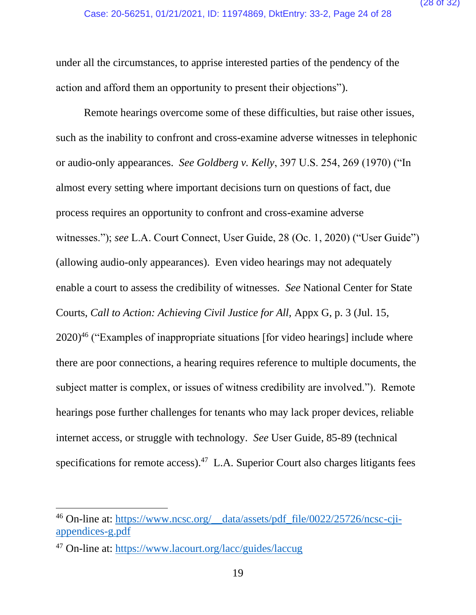under all the circumstances, to apprise interested parties of the pendency of the action and afford them an opportunity to present their objections").

Remote hearings overcome some of these difficulties, but raise other issues, such as the inability to confront and cross-examine adverse witnesses in telephonic or audio-only appearances. *See Goldberg v. Kelly*, 397 U.S. 254, 269 (1970) ("In almost every setting where important decisions turn on questions of fact, due process requires an opportunity to confront and cross-examine adverse witnesses."); *see* L.A. Court Connect, User Guide, 28 (Oc. 1, 2020) ("User Guide") (allowing audio-only appearances). Even video hearings may not adequately enable a court to assess the credibility of witnesses. *See* National Center for State Courts, *Call to Action: Achieving Civil Justice for All,* Appx G, p. 3 (Jul. 15, 2020)<sup>46</sup> ("Examples of inappropriate situations [for video hearings] include where there are poor connections, a hearing requires reference to multiple documents, the subject matter is complex, or issues of witness credibility are involved."). Remote hearings pose further challenges for tenants who may lack proper devices, reliable internet access, or struggle with technology. *See* User Guide, 85-89 (technical specifications for remote access). $47$  L.A. Superior Court also charges litigants fees

<sup>&</sup>lt;sup>46</sup> On-line at: [https://www.ncsc.org/\\_\\_data/assets/pdf\\_file/0022/25726/ncsc-cji](https://www.ncsc.org/__data/assets/pdf_file/0022/25726/ncsc-cji-appendices-g.pdf)[appendices-g.pdf](https://www.ncsc.org/__data/assets/pdf_file/0022/25726/ncsc-cji-appendices-g.pdf)

<sup>47</sup> On-line at:<https://www.lacourt.org/lacc/guides/laccug>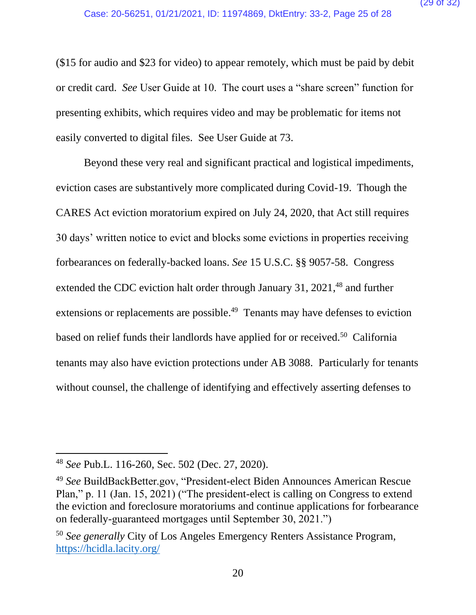(\$15 for audio and \$23 for video) to appear remotely, which must be paid by debit or credit card. *See* User Guide at 10. The court uses a "share screen" function for presenting exhibits, which requires video and may be problematic for items not easily converted to digital files. See User Guide at 73.

Beyond these very real and significant practical and logistical impediments, eviction cases are substantively more complicated during Covid-19. Though the CARES Act eviction moratorium expired on July 24, 2020, that Act still requires 30 days' written notice to evict and blocks some evictions in properties receiving forbearances on federally-backed loans. *See* 15 U.S.C. §§ 9057-58. Congress extended the CDC eviction halt order through January 31, 2021,<sup>48</sup> and further extensions or replacements are possible.<sup>49</sup> Tenants may have defenses to eviction based on relief funds their landlords have applied for or received.<sup>50</sup> California tenants may also have eviction protections under AB 3088. Particularly for tenants without counsel, the challenge of identifying and effectively asserting defenses to

<sup>48</sup> *See* Pub.L. 116-260, Sec. 502 (Dec. 27, 2020).

<sup>49</sup> *See* BuildBackBetter.gov, "President-elect Biden Announces American Rescue Plan," p. 11 (Jan. 15, 2021) ("The president-elect is calling on Congress to extend the eviction and foreclosure moratoriums and continue applications for forbearance on federally-guaranteed mortgages until September 30, 2021.")

<sup>50</sup> *See generally* City of Los Angeles Emergency Renters Assistance Program, <https://hcidla.lacity.org/>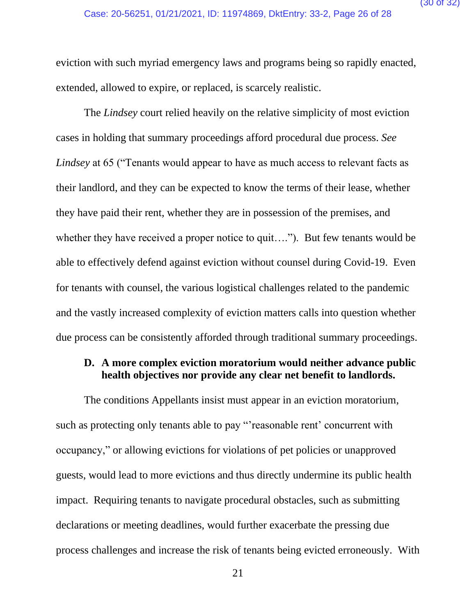eviction with such myriad emergency laws and programs being so rapidly enacted, extended, allowed to expire, or replaced, is scarcely realistic.

The *Lindsey* court relied heavily on the relative simplicity of most eviction cases in holding that summary proceedings afford procedural due process. *See Lindsey* at 65 ("Tenants would appear to have as much access to relevant facts as their landlord, and they can be expected to know the terms of their lease, whether they have paid their rent, whether they are in possession of the premises, and whether they have received a proper notice to quit...."). But few tenants would be able to effectively defend against eviction without counsel during Covid-19. Even for tenants with counsel, the various logistical challenges related to the pandemic and the vastly increased complexity of eviction matters calls into question whether due process can be consistently afforded through traditional summary proceedings.

## **D. A more complex eviction moratorium would neither advance public health objectives nor provide any clear net benefit to landlords.**

The conditions Appellants insist must appear in an eviction moratorium, such as protecting only tenants able to pay "'reasonable rent' concurrent with occupancy," or allowing evictions for violations of pet policies or unapproved guests, would lead to more evictions and thus directly undermine its public health impact. Requiring tenants to navigate procedural obstacles, such as submitting declarations or meeting deadlines, would further exacerbate the pressing due process challenges and increase the risk of tenants being evicted erroneously. With

21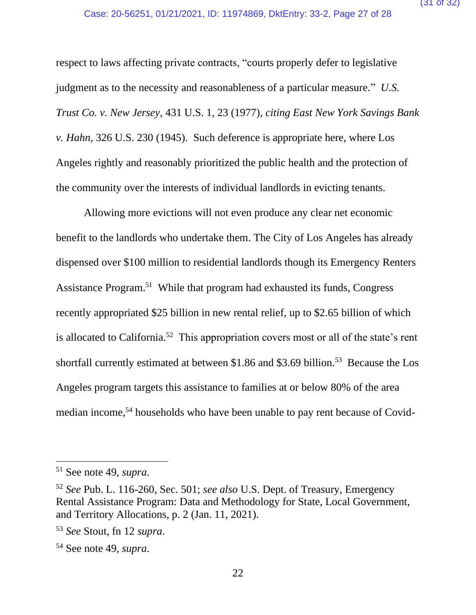respect to laws affecting private contracts, "courts properly defer to legislative judgment as to the necessity and reasonableness of a particular measure." *U.S. Trust Co. v. New Jersey,* 431 U.S. 1, 23 (1977), *citing East New York Savings Bank v. Hahn,* 326 U.S. 230 (1945). Such deference is appropriate here, where Los Angeles rightly and reasonably prioritized the public health and the protection of the community over the interests of individual landlords in evicting tenants.

Allowing more evictions will not even produce any clear net economic benefit to the landlords who undertake them. The City of Los Angeles has already dispensed over \$100 million to residential landlords though its Emergency Renters Assistance Program.<sup>51</sup> While that program had exhausted its funds, Congress recently appropriated \$25 billion in new rental relief, up to \$2.65 billion of which is allocated to California.<sup>52</sup> This appropriation covers most or all of the state's rent shortfall currently estimated at between \$1.86 and \$3.69 billion.<sup>53</sup> Because the Los Angeles program targets this assistance to families at or below 80% of the area median income,<sup>54</sup> households who have been unable to pay rent because of Covid-

<sup>51</sup> See note 49, *supra*.

<sup>52</sup> *See* Pub. L. 116-260, Sec. 501; *see also* U.S. Dept. of Treasury, Emergency Rental Assistance Program: Data and Methodology for State, Local Government, and Territory Allocations, p. 2 (Jan. 11, 2021).

<sup>53</sup> *See* Stout, fn 12 *supra*.

<sup>54</sup> See note 49, *supra*.